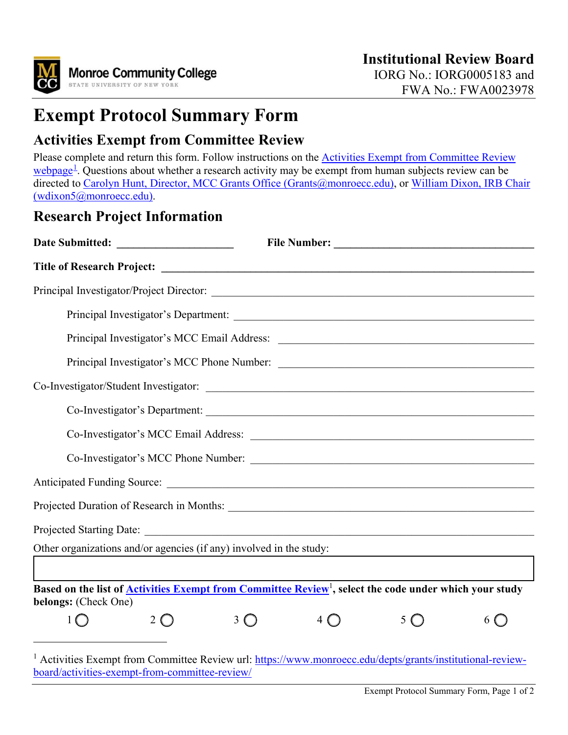

# **Exempt Protocol Summary Form**

### **Activities Exempt from Committee Review**

<span id="page-0-0"></span>Please complete and return this form. Follow instructions on the Activities Exempt from Committee Review [webpage](https://www.monroecc.edu/depts/grants/institutional-review-board/activities-exempt-from-committee-review/)<sup>[1](#page-0-1)</sup>. Questions about whether a research activity may be exempt from human subjects review can be directed to [Carolyn Hunt, Director, MCC Grants Office \(Grants@monroecc.edu\),](mailto:Grants@monroecc.edu) or William Dixon, IRB Chair [\(wdixon5@monroecc.edu\).](mailto:wdixon5@monroecc.edu)

#### **Research Project Information**

| Co-Investigator's Department:<br>Co-Investigator's MCC Email Address: |                                                                                                                           |   |  |   |   |  |
|-----------------------------------------------------------------------|---------------------------------------------------------------------------------------------------------------------------|---|--|---|---|--|
|                                                                       |                                                                                                                           |   |  |   |   |  |
|                                                                       |                                                                                                                           |   |  |   |   |  |
|                                                                       |                                                                                                                           |   |  |   |   |  |
|                                                                       |                                                                                                                           |   |  |   |   |  |
|                                                                       | Other organizations and/or agencies (if any) involved in the study:                                                       |   |  |   |   |  |
|                                                                       |                                                                                                                           |   |  |   |   |  |
| belongs: (Check One)                                                  | Based on the list of <b>Activities Exempt from Committee Review</b> <sup>1</sup> , select the code under which your study |   |  |   |   |  |
|                                                                       | 2                                                                                                                         | 3 |  | 5 | 6 |  |
|                                                                       |                                                                                                                           |   |  |   |   |  |

<span id="page-0-1"></span><sup>&</sup>lt;sup>1</sup> Activities Exempt from Committee Review url: [https://www.monroecc.edu/depts/grants/institutional-review](https://www.monroecc.edu/depts/grants/institutional-review-board/activities-exempt-from-committee-review/)[board/activities-exempt-from-committee-review/](https://www.monroecc.edu/depts/grants/institutional-review-board/activities-exempt-from-committee-review/)